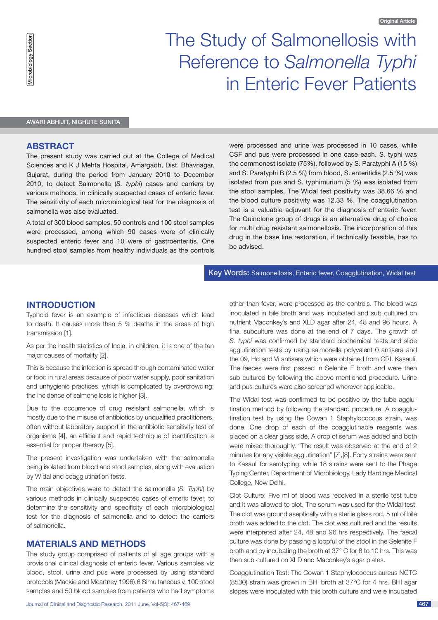# The Study of Salmonellosis with Reference to *Salmonella Typhi* in Enteric Fever Patients

Awari Abhijit, Nighute Sunita

## **Abstract**

The present study was carried out at the College of Medical Sciences and K J Mehta Hospital, Amargadh, Dist. Bhavnagar, Gujarat, during the period from January 2010 to December 2010, to detect Salmonella (*S. typhi*) cases and carriers by various methods, in clinically suspected cases of enteric fever. The sensitivity of each microbiological test for the diagnosis of salmonella was also evaluated.

A total of 300 blood samples, 50 controls and 100 stool samples were processed, among which 90 cases were of clinically suspected enteric fever and 10 were of gastroenteritis. One hundred stool samples from healthy individuals as the controls were processed and urine was processed in 10 cases, while CSF and pus were processed in one case each. S. typhi was the commonest isolate (75%), followed by S. Paratyphi A (15 %) and S. Paratyphi B (2.5 %) from blood, S. enteritidis (2.5 %) was isolated from pus and S. typhimurium (5 %) was isolated from the stool samples. The Widal test positivity was 38.66 % and the blood culture positivity was 12.33 %. The coagglutination test is a valuable adjuvant for the diagnosis of enteric fever. The Quinolone group of drugs is an alternative drug of choice for multi drug resistant salmonellosis. The incorporation of this drug in the base line restoration, if technically feasible, has to be advised.

Key Words**:** Salmonellosis, Enteric fever, Coagglutination, Widal test

# **INTRODUCTION**

Typhoid fever is an example of infectious diseases which lead to death. It causes more than 5 % deaths in the areas of high transmission [1].

As per the health statistics of India, in children, it is one of the ten major causes of mortality [2].

This is because the infection is spread through contaminated water or food in rural areas because of poor water supply, poor sanitation and unhygienic practices, which is complicated by overcrowding; the incidence of salmonellosis is higher [3].

Due to the occurrence of drug resistant salmonella, which is mostly due to the misuse of antibiotics by unqualified practitioners, often without laboratory support in the antibiotic sensitivity test of organisms [4], an efficient and rapid technique of identification is essential for proper therapy [5].

The present investigation was undertaken with the salmonella being isolated from blood and stool samples, along with evaluation by Widal and coagglutination tests.

The main objectives were to detect the salmonella (*S. Typhi*) by various methods in clinically suspected cases of enteric fever, to determine the sensitivity and specificity of each microbiological test for the diagnosis of salmonella and to detect the carriers of salmonella.

# **MATERIALS AND METHODS**

The study group comprised of patients of all age groups with a provisional clinical diagnosis of enteric fever. Various samples viz blood, stool, urine and pus were processed by using standard protocols (Mackie and Mcartney 1996).6 Simultaneously, 100 stool samples and 50 blood samples from patients who had symptoms

Journal of Clinical and Diagnostic Research. 2011 June, Vol-5(3): 467-469 467 467 467 467 467 467 467 467 467

other than fever, were processed as the controls. The blood was inoculated in bile broth and was incubated and sub cultured on nutrient Maconkey's and XLD agar after 24, 48 and 96 hours. A final subculture was done at the end of 7 days. The growth of *S. typhi* was confirmed by standard biochemical tests and slide agglutination tests by using salmonella polyvalent 0 antisera and the 09, Hd and Vi antisera which were obtained from CRI, Kasauli. The faeces were first passed in Selenite F broth and were then sub-cultured by following the above mentioned procedure. Urine and pus cultures were also screened wherever applicable.

The Widal test was confirmed to be positive by the tube agglutination method by following the standard procedure. A coagglutination test by using the Cowan 1 Staphylococcus strain, was done. One drop of each of the coagglutinable reagents was placed on a clear glass side. A drop of serum was added and both were mixed thoroughly. "The result was observed at the end of 2 minutes for any visible agglutination" [7],[8]. Forty strains were sent to Kasauli for serotyping, while 18 strains were sent to the Phage Typing Center, Department of Microbiology, Lady Hardinge Medical College, New Delhi.

Clot Culture: Five ml of blood was received in a sterile test tube and it was allowed to clot. The serum was used for the Widal test. The clot was ground aseptically with a sterile glass rod. 5 ml of bile broth was added to the clot. The clot was cultured and the results were interpreted after 24, 48 and 96 hrs respectively. The faecal culture was done by passing a loopful of the stool in the Selenite F broth and by incubating the broth at 37° C for 8 to 10 hrs. This was then sub cultured on XLD and Maconkey's agar plates.

Coagglutination Test: The Cowan 1 Staphylococcus aureus NCTC (8530) strain was grown in BHI broth at 37°C for 4 hrs. BHI agar slopes were inoculated with this broth culture and were incubated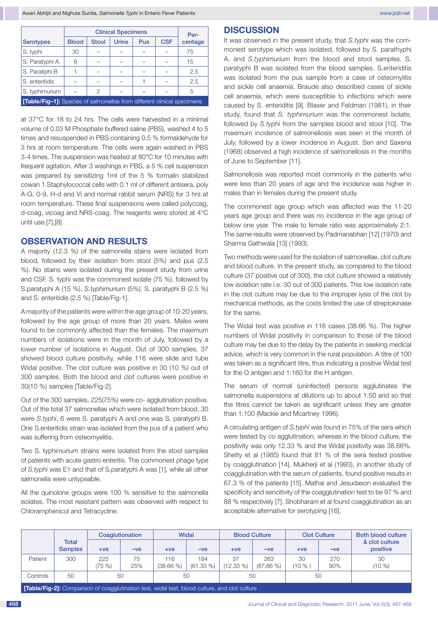|                                                                                |              | Per-         |              |     |            |         |  |  |  |
|--------------------------------------------------------------------------------|--------------|--------------|--------------|-----|------------|---------|--|--|--|
| <b>Serotypes</b>                                                               | <b>Blood</b> | <b>Stool</b> | <b>Urine</b> | Pus | <b>CSF</b> | centage |  |  |  |
| S. typhi                                                                       | 30           |              |              |     |            | 75      |  |  |  |
| S. Paratyphi A.                                                                | 6            |              |              |     |            | 15      |  |  |  |
| S. Paratiphi B                                                                 |              |              |              |     |            | 2.5     |  |  |  |
| S. enteritidis                                                                 |              |              |              |     |            | 2.5     |  |  |  |
| S. typhimurium                                                                 |              | 2            |              |     |            | 5       |  |  |  |
| <b>[Table/Fig-1]:</b> Species of salmonellae from different clinical specimens |              |              |              |     |            |         |  |  |  |

at 37°C for 18 to 24 hrs. The cells were harvested in a minimal volume of 0.03 M Phosphate buffered saline (PBS), washed 4 to 5 times and resuspended in PBS containing 0.5 % formaldehyde for 3 hrs at room temperature. The cells were again washed in PBS 3-4 times. The suspension was heated at 80°C for 10 minutes with frequent agitation. After 3 washings in PBS, a 5 % cell suspension was prepared by sensitizing 1ml of the 5 % formalin stabilized cowan 1 Staphylococcal cells with 0.1 ml of different antisera, poly A-G, 0-9, H-d and Vi and normal rabbit serum (NRS) for 3 hrs at room temperature. These final suspensions were called polycoag, d-coag, vicoag and NRS-coag. The reagents were stored at 4°C until use.[7],[8]

# **OBSERVATION AND RESULTS**

A majority (12.3 %) of the salmonella stains were isolated from blood, followed by their isolation from stool (5%) and pus (2.5 %). No stains were isolated during the present study from urine and CSF. S. typhi was the commonest isolate (75 %), followed by S.paratyphi A (15 %), *S.typhimurium* (5%), S. paratyphi B (2.5 %) and S. enteritidis (2.5 %) [Table/Fig-1].

A majority of the patients were within the age group of 10-20 years, followed by the age group of more than 20 years. Males were found to be commonly affected than the females. The maximum numbers of isolations were in the month of July, followed by a lower number of isolations in August. Out of 300 samples, 37 showed blood culture positivity, while 116 were slide and tube Widal positive. The clot culture was positive in 30 (10 %) out of 300 samples. Both the blood and clot cultures were positive in 30(10 %) samples [Table/Fig-2].

Out of the 300 samples, 225(75%) were co- agglutination positive. Out of the total 37 salmonellae which were isolated from blood, 30 were *S.typhi*, 6 were S. paratyphi A and one was S. paratyphi B. One S.enteritidis strain was isolated from the pus of a patient who was suffering from osteomyelitis.

Two S. typhimurium strains were isolated from the stool samples of patients with acute gastro enteritis. The commonest phage type of *S.typhi* was E1 and that of S.paratyphi A was [1], while all other salmonella were untypeable.

All the quinolone groups were 100 % sensitive to the salmonella isolates. The most resistant pattern was observed with respect to Chloramphenicol and Tetracycline.

#### **DISCUSSION**

It was observed in the present study, that *S.typhi* was the commonest serotype which was isolated, followed by S. parathyphi A. and *S.typhimurium* from the blood and stool samples. S. paratyphi B was isolated from the blood samples. S.enteriditis was isolated from the pus sample from a case of osteomylitis and sickle cell anaemia. Braude also described cases of sickle cell anaemia, which were susceptible to infections which were caused by S. enteriditis [9]. Blaser and Feldman (1981), in their study, found that *S. typhimurium* was the commonest isolate, followed by *S.typhi* from the samples blood and stool [10]. The maximum incidence of salmonellosis was seen in the month of July, followed by a lower incidence in August. Sen and Saxena (1968) observed a high incidence of salmonellosis in the months of June to September [11].

Salmonellosis was reported most commonly in the patients who were less than 20 years of age and the incidence was higher in males than in females during the present study.

The commonest age group which was affected was the 11-20 years age group and there was no incidence in the age group of below one year. The male to female ratio was approximately 2:1. The same results were observed by Padmanabhan [12] (1970) and Sharma Gathwala [13] (1993).

Two methods were used for the isolation of salmonellae, clot culture and blood culture. In the present study, as compared to the blood culture (37 positive out of 300), the clot culture showed a relatively low isolation rate i.e. 30 out of 300 patients. This low isolation rate in the clot culture may be due to the improper lysis of the clot by mechanical methods, as the costs limited the use of streptokinase for the same.

The Widal test was positive in 116 cases (38.66 %). The higher numbers of Widal positivity in comparison to those of the blood culture may be due to the delay by the patients in seeking medical advice, which is very common in the rural population. A titre of 100 was taken as a significant titre, thus indicating a positive Widal test for the O antigen and 1:160 for the H antigen.

The serum of normal (uninfected) persons agglutinates the salmonella suspensions at dilutions up to about 1:50 and so that the titres cannot be taken as significant unless they are greater than 1:100 (Mackie and Mcartney 1996).

A circulating antigen of *S.typhi* was found in 75% of the sera which were tested by co agglutination, whereas in the blood culture, the positivity was only 12.33 % and the Widal positivity was 38.66%. Shetty et al (1985) found that 81 % of the sera tested positive by coagglutination [14]. Mukherji et al (1993), in another study of coagglutination with the serum of patients, found positive results in 67.3 % of the patients [15]. Mathai and Jesudason evaluated the specificity and sencitivity of the coagglutination test to be 97 % and 88 % respectively [7]. Shobharam et al found coagglutination as an acceptable alternative for serotyping [16].

|                                                                                                           |                                |            | Coaglutionation |                    | Widal               |                   | <b>Blood Culture</b> |            | <b>Clot Culture</b> | Both blood culture         |  |
|-----------------------------------------------------------------------------------------------------------|--------------------------------|------------|-----------------|--------------------|---------------------|-------------------|----------------------|------------|---------------------|----------------------------|--|
|                                                                                                           | <b>Total</b><br><b>Samples</b> | $+ve$      | $-ve$           | $+ve$              | $-ve$               | $+ve$             | $-ve$                | $+ve$      | $-ve$               | & clot culture<br>positive |  |
| Patient                                                                                                   | 300                            | 225<br>75% | 75<br>25%       | 116<br>$(38.66\%)$ | 184<br>$(61.33\% )$ | 37<br>$(12.33\%)$ | 263<br>$(87.66\%)$   | 30<br>(10% | 270<br>90%          | 30<br>(10 %)               |  |
| Controls                                                                                                  | 50                             | 50         |                 | 50                 |                     | 50                |                      | 50         |                     |                            |  |
| <b>Table/Eig 01:</b> Comparison of oceanly tipotion toot, widel toot, blood outly iso, and olet outly iso |                                |            |                 |                    |                     |                   |                      |            |                     |                            |  |

**[Table/Fig-2]:** Comparison of coagglutination test, widal test, blood culture, and clot culture